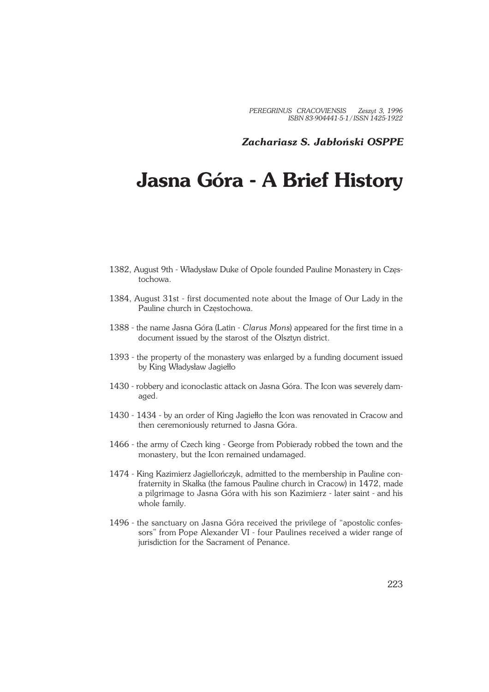*PEREGRINUS CRACOVIENSIS Zeszyt 3, 1996 ISBN 83−904441−5−1 / ISSN 1425−1922*

*Zachariasz S. Jabłoński OSPPE*

## **Jasna Góra − A Brief History**

- 1382, August 9th − Władysław Duke of Opole founded Pauline Monastery in Częs− tochowa.
- 1384, August 31st − first documented note about the Image of Our Lady in the Pauline church in Częstochowa.
- 1388 − the name Jasna Góra (Latin − *Clarus Mons*) appeared for the first time in a document issued by the starost of the Olsztyn district.
- 1393 the property of the monastery was enlarged by a funding document issued by King Władysław Jagiełło
- 1430 robbery and iconoclastic attack on Jasna Góra. The Icon was severely damaged.
- 1430 1434 by an order of King Jagiełło the Icon was renovated in Cracow and then ceremoniously returned to Jasna Góra.
- 1466 the army of Czech king George from Pobierady robbed the town and the monastery, but the Icon remained undamaged.
- 1474 King Kazimierz Jagiellończyk, admitted to the membership in Pauline confraternity in Skałka (the famous Pauline church in Cracow) in 1472, made a pilgrimage to Jasna Góra with his son Kazimierz − later saint − and his whole family.
- 1496 the sanctuary on Jasna Góra received the privilege of "apostolic confessors" from Pope Alexander VI − four Paulines received a wider range of jurisdiction for the Sacrament of Penance.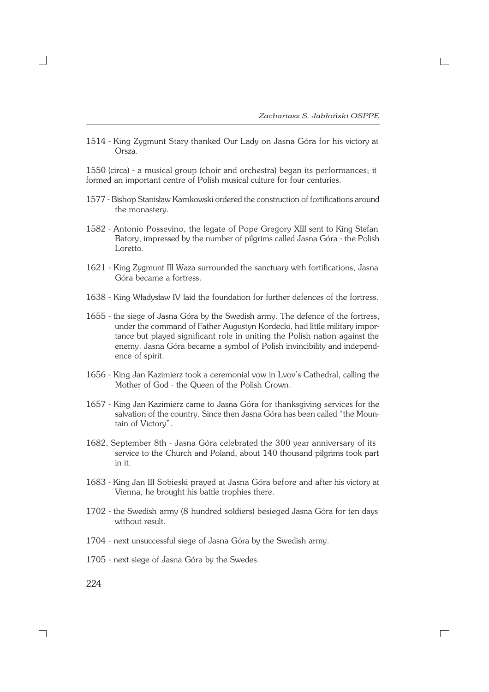$\Box$ 

1514 - King Zygmunt Stary thanked Our Lady on Jasna Góra for his victory at Orsza.

1550 (circa) − a musical group (choir and orchestra) began its performances; it formed an important centre of Polish musical culture for four centuries.

- 1577 − Bishop Stanisław Karnkowski ordered the construction of fortifications around the monastery.
- 1582 Antonio Possevino, the legate of Pope Gregory XIII sent to King Stefan Batory, impressed by the number of pilgrims called Jasna Góra - the Polish Loretto.
- 1621 King Zygmunt III Waza surrounded the sanctuary with fortifications, Jasna Góra became a fortress.
- 1638 − King Władysław IV laid the foundation for further defences of the fortress.
- 1655 the siege of Jasna Góra by the Swedish army. The defence of the fortress, under the command of Father Augustyn Kordecki, had little military impor− tance but played significant role in uniting the Polish nation against the enemy. Jasna Góra became a symbol of Polish invincibility and independ− ence of spirit.
- 1656 − King Jan Kazimierz took a ceremonial vow in Lvov's Cathedral, calling the Mother of God − the Queen of the Polish Crown.
- 1657 − King Jan Kazimierz came to Jasna Góra for thanksgiving services for the salvation of the country. Since then Jasna Góra has been called "the Moun− tain of Victory".
- 1682, September 8th − Jasna Góra celebrated the 300 year anniversary of its service to the Church and Poland, about 140 thousand pilgrims took part in it.
- 1683 − King Jan III Sobieski prayed at Jasna Góra before and after his victory at Vienna, he brought his battle trophies there.
- 1702 − the Swedish army (8 hundred soldiers) besieged Jasna Góra for ten days without result.
- 1704 next unsuccessful siege of Jasna Góra by the Swedish army.
- 1705 next siege of Jasna Góra by the Swedes.

224

٦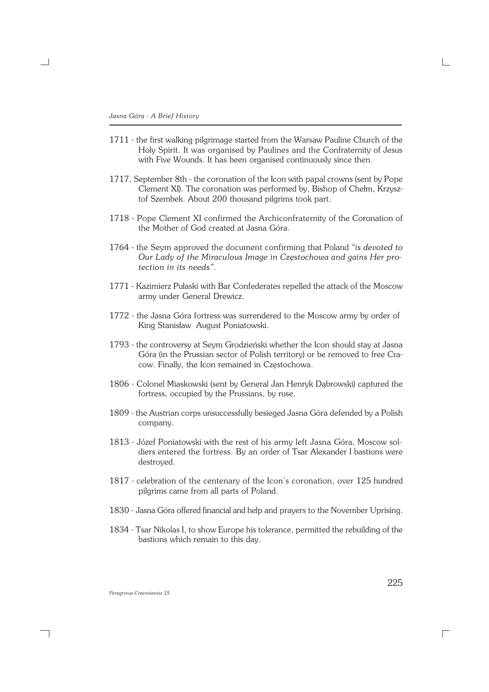×.

- 1711 the first walking pilgrimage started from the Warsaw Pauline Church of the Holy Spirit. It was organised by Paulines and the Confraternity of Jesus with Five Wounds. It has been organised continuously since then.
- 1717, September 8th − the coronation of the Icon with papal crowns (sent by Pope Clement XI). The coronation was performed by, Bishop of Chełm, Krzysz− tof Szembek. About 200 thousand pilgrims took part.
- 1718 Pope Clement XI confirmed the Archiconfraternity of the Coronation of the Mother of God created at Jasna Góra.
- 1764 − the Seym approved the document confirming that Poland *"is devoted to Our Lady of the Miraculous Image in Częstochowa and gains Her pro− tection in its needs"*.
- 1771 − Kazimierz Pułaski with Bar Confederates repelled the attack of the Moscow army under General Drewicz.
- 1772 the Jasna Góra fortress was surrendered to the Moscow army by order of King Stanisław August Poniatowski.
- 1793 − the controversy at Seym Grodzieński whether the Icon should stay at Jasna Góra (in the Prussian sector of Polish territory) or be removed to free Cra− cow. Finally, the Icon remained in Częstochowa.
- 1806 − Colonel Miaskowski (sent by General Jan Henryk Dąbrowski) captured the fortress, occupied by the Prussians, by ruse.
- 1809 the Austrian corps unsuccessfully besieged Jasna Góra defended by a Polish company.
- 1813 − Józef Poniatowski with the rest of his army left Jasna Góra, Moscow sol− diers entered the fortress. By an order of Tsar Alexander I bastions were destroyed.
- 1817 celebration of the centenary of the Icon's coronation, over 125 hundred pilgrims came from all parts of Poland.
- 1830 Jasna Góra offered financial and help and prayers to the November Uprising.
- 1834 Tsar Nikolas I, to show Europe his tolerance, permitted the rebuilding of the bastions which remain to this day.

*Peregrinus Cracoviensis 15*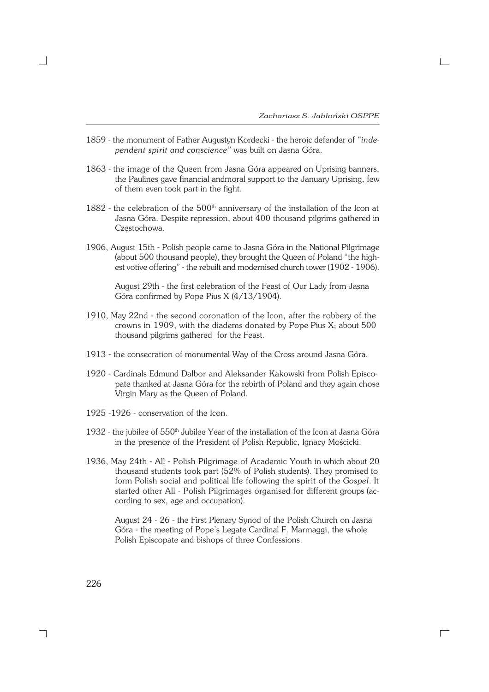- 1859 − the monument of Father Augustyn Kordecki − the heroic defender of *"inde− pendent spirit and conscience"* was built on Jasna Góra.
- 1863 the image of the Queen from Jasna Góra appeared on Uprising banners, the Paulines gave financial andmoral support to the January Uprising, few of them even took part in the fight.
- 1882 the celebration of the 500<sup>th</sup> anniversary of the installation of the Icon at Jasna Góra. Despite repression, about 400 thousand pilgrims gathered in Częstochowa.
- 1906, August 15th − Polish people came to Jasna Góra in the National Pilgrimage (about 500 thousand people), they brought the Queen of Poland "the high− est votive offering" − the rebuilt and modernised church tower (1902 − 1906).

August 29th − the first celebration of the Feast of Our Lady from Jasna Góra confirmed by Pope Pius X (4/13/1904).

- 1910, May 22nd − the second coronation of the Icon, after the robbery of the crowns in 1909, with the diadems donated by Pope Pius X; about 500 thousand pilgrims gathered for the Feast.
- 1913 the consecration of monumental Way of the Cross around Jasna Góra.
- 1920 − Cardinals Edmund Dalbor and Aleksander Kakowski from Polish Episco− pate thanked at Jasna Góra for the rebirth of Poland and they again chose Virgin Mary as the Queen of Poland.
- 1925 −1926 − conservation of the Icon.
- 1932 the jubilee of 550<sup>th</sup> Jubilee Year of the installation of the Icon at Jasna Góra in the presence of the President of Polish Republic, Ignacy Mościcki.
- 1936, May 24th − All − Polish Pilgrimage of Academic Youth in which about 20 thousand students took part (52% of Polish students). They promised to form Polish social and political life following the spirit of the *Gospel*. It started other All − Polish Pilgrimages organised for different groups (ac− cording to sex, age and occupation).

August 24 − 26 − the First Plenary Synod of the Polish Church on Jasna Góra − the meeting of Pope's Legate Cardinal F. Marmaggi, the whole Polish Episcopate and bishops of three Confessions.

 $\Box$ 

226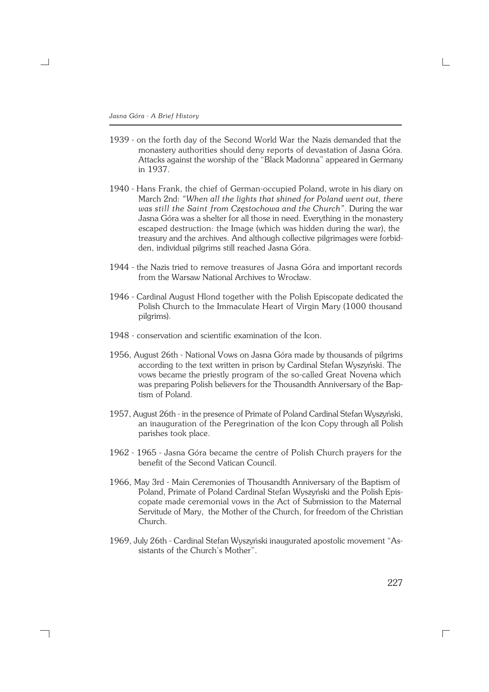×.

- 1939 on the forth day of the Second World War the Nazis demanded that the monastery authorities should deny reports of devastation of Jasna Góra. Attacks against the worship of the "Black Madonna" appeared in Germany in 1937.
- 1940 − Hans Frank, the chief of German−occupied Poland, wrote in his diary on March 2nd: *"When all the lights that shined for Poland went out, there was still the Saint from Częstochowa and the Church"*. During the war Jasna Góra was a shelter for all those in need. Everything in the monastery escaped destruction: the Image (which was hidden during the war), the treasury and the archives. And although collective pilgrimages were forbid− den, individual pilgrims still reached Jasna Góra.
- 1944 the Nazis tried to remove treasures of Jasna Góra and important records from the Warsaw National Archives to Wrocław.
- 1946 Cardinal August Hlond together with the Polish Episcopate dedicated the Polish Church to the Immaculate Heart of Virgin Mary (1000 thousand pilgrims).
- 1948 conservation and scientific examination of the Icon.
- 1956, August 26th − National Vows on Jasna Góra made by thousands of pilgrims according to the text written in prison by Cardinal Stefan Wyszyński. The vows became the priestly program of the so−called Great Novena which was preparing Polish believers for the Thousandth Anniversary of the Bap− tism of Poland.
- 1957, August 26th − in the presence of Primate of Poland Cardinal Stefan Wyszyński, an inauguration of the Peregrination of the Icon Copy through all Polish parishes took place.
- 1962 1965 Jasna Góra became the centre of Polish Church prayers for the benefit of the Second Vatican Council.
- 1966, May 3rd − Main Ceremonies of Thousandth Anniversary of the Baptism of Poland, Primate of Poland Cardinal Stefan Wyszyński and the Polish Epis− copate made ceremonial vows in the Act of Submission to the Maternal Servitude of Mary, the Mother of the Church, for freedom of the Christian Church.
- 1969, July 26th − Cardinal Stefan Wyszyński inaugurated apostolic movement "As− sistants of the Church's Mother".

227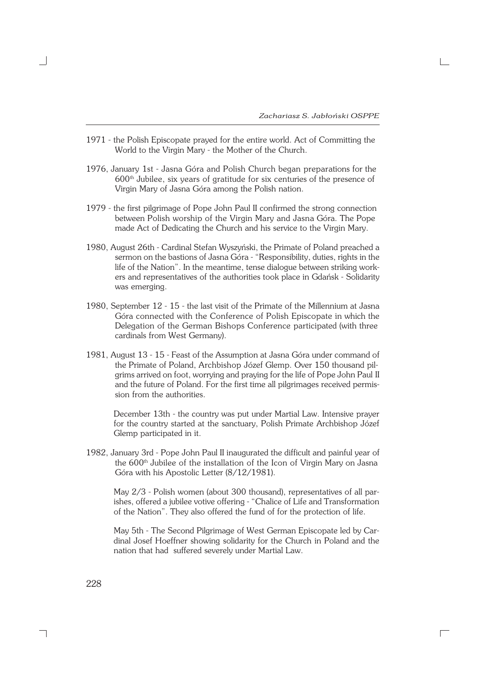- 1971 the Polish Episcopate prayed for the entire world. Act of Committing the World to the Virgin Mary − the Mother of the Church.
- 1976, January 1st − Jasna Góra and Polish Church began preparations for the 600th Jubilee, six years of gratitude for six centuries of the presence of Virgin Mary of Jasna Góra among the Polish nation.
- 1979 the first pilgrimage of Pope John Paul II confirmed the strong connection between Polish worship of the Virgin Mary and Jasna Góra. The Pope made Act of Dedicating the Church and his service to the Virgin Mary.
- 1980, August 26th − Cardinal Stefan Wyszyński, the Primate of Poland preached a sermon on the bastions of Jasna Góra - "Responsibility, duties, rights in the life of the Nation". In the meantime, tense dialogue between striking work− ers and representatives of the authorities took place in Gdańsk − Solidarity was emerging.
- 1980, September 12 15 the last visit of the Primate of the Millennium at Jasna Góra connected with the Conference of Polish Episcopate in which the Delegation of the German Bishops Conference participated (with three cardinals from West Germany).
- 1981, August 13 15 Feast of the Assumption at Jasna Góra under command of the Primate of Poland, Archbishop Józef Glemp. Over 150 thousand pil− grims arrived on foot, worrying and praying for the life of Pope John Paul II and the future of Poland. For the first time all pilgrimages received permis− sion from the authorities.

December 13th − the country was put under Martial Law. Intensive prayer for the country started at the sanctuary, Polish Primate Archbishop Józef Glemp participated in it.

1982, January 3rd − Pope John Paul II inaugurated the difficult and painful year of the 600<sup>th</sup> Jubilee of the installation of the Icon of Virgin Mary on Jasna Góra with his Apostolic Letter (8/12/1981).

May 2/3 − Polish women (about 300 thousand), representatives of all par− ishes, offered a jubilee votive offering − "Chalice of Life and Transformation of the Nation". They also offered the fund of for the protection of life.

May 5th − The Second Pilgrimage of West German Episcopate led by Car− dinal Josef Hoeffner showing solidarity for the Church in Poland and the nation that had suffered severely under Martial Law.

 $\Box$ 

228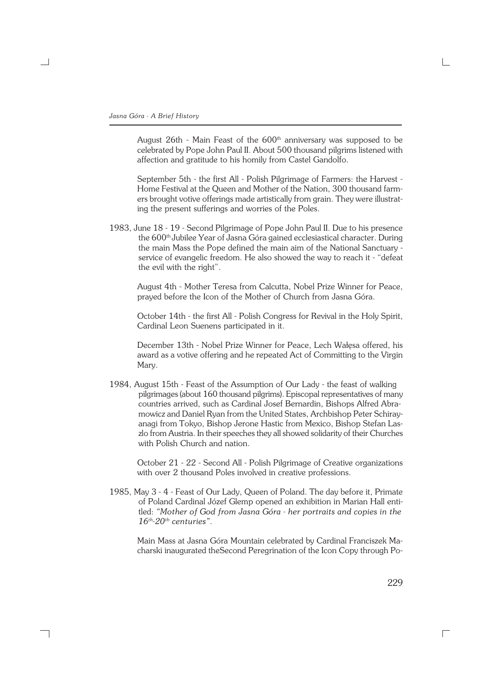August 26th - Main Feast of the 600<sup>th</sup> anniversary was supposed to be celebrated by Pope John Paul II. About 500 thousand pilgrims listened with affection and gratitude to his homily from Castel Gandolfo.

September 5th − the first All − Polish Pilgrimage of Farmers: the Harvest − Home Festival at the Queen and Mother of the Nation, 300 thousand farm− ers brought votive offerings made artistically from grain. They were illustrat− ing the present sufferings and worries of the Poles.

1983, June 18 − 19 − Second Pilgrimage of Pope John Paul II. Due to his presence the 600<sup>th</sup> Jubilee Year of Jasna Góra gained ecclesiastical character. During the main Mass the Pope defined the main aim of the National Sanctuary − service of evangelic freedom. He also showed the way to reach it - "defeat the evil with the right".

August 4th − Mother Teresa from Calcutta, Nobel Prize Winner for Peace, prayed before the Icon of the Mother of Church from Jasna Góra.

October 14th − the first All − Polish Congress for Revival in the Holy Spirit, Cardinal Leon Suenens participated in it.

December 13th − Nobel Prize Winner for Peace, Lech Wałęsa offered, his award as a votive offering and he repeated Act of Committing to the Virgin Mary.

1984, August 15th − Feast of the Assumption of Our Lady − the feast of walking pilgrimages (about 160 thousand pilgrims). Episcopal representatives of many countries arrived, such as Cardinal Josef Bernardin, Bishops Alfred Abra− mowicz and Daniel Ryan from the United States, Archbishop Peter Schiray− anagi from Tokyo, Bishop Jerone Hastic from Mexico, Bishop Stefan Las− zlo from Austria. In their speeches they all showed solidarity of their Churches with Polish Church and nation.

October 21 − 22 − Second All − Polish Pilgrimage of Creative organizations with over 2 thousand Poles involved in creative professions.

1985, May 3 - 4 - Feast of Our Lady, Queen of Poland. The day before it, Primate of Poland Cardinal Józef Glemp opened an exhibition in Marian Hall enti− tled: *"Mother of God from Jasna Góra − her portraits and copies in the 16th−20th centuries"*.

Main Mass at Jasna Góra Mountain celebrated by Cardinal Franciszek Ma− charski inaugurated theSecond Peregrination of the Icon Copy through Po−

229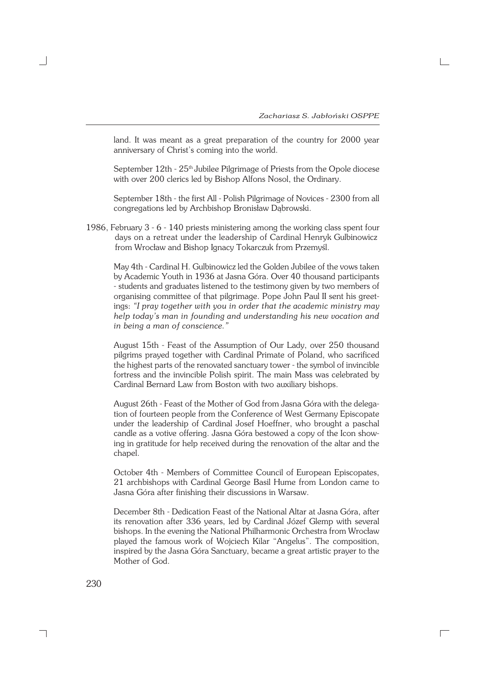land. It was meant as a great preparation of the country for 2000 year anniversary of Christ's coming into the world.

September 12th - 25<sup>th</sup> Jubilee Pilgrimage of Priests from the Opole diocese with over 200 clerics led by Bishop Alfons Nosol, the Ordinary.

September 18th − the first All − Polish Pilgrimage of Novices − 2300 from all congregations led by Archbishop Bronisław Dąbrowski.

1986, February 3 − 6 − 140 priests ministering among the working class spent four days on a retreat under the leadership of Cardinal Henryk Gulbinowicz from Wrocław and Bishop Ignacy Tokarczuk from Przemyśl.

May 4th − Cardinal H. Gulbinowicz led the Golden Jubilee of the vows taken by Academic Youth in 1936 at Jasna Góra. Over 40 thousand participants − students and graduates listened to the testimony given by two members of organising committee of that pilgrimage. Pope John Paul II sent his greet− ings: *"I pray together with you in order that the academic ministry may help today's man in founding and understanding his new vocation and in being a man of conscience."*

August 15th − Feast of the Assumption of Our Lady, over 250 thousand pilgrims prayed together with Cardinal Primate of Poland, who sacrificed the highest parts of the renovated sanctuary tower − the symbol of invincible fortress and the invincible Polish spirit. The main Mass was celebrated by Cardinal Bernard Law from Boston with two auxiliary bishops.

August 26th − Feast of the Mother of God from Jasna Góra with the delega− tion of fourteen people from the Conference of West Germany Episcopate under the leadership of Cardinal Josef Hoeffner, who brought a paschal candle as a votive offering. Jasna Góra bestowed a copy of the Icon show− ing in gratitude for help received during the renovation of the altar and the chapel.

October 4th − Members of Committee Council of European Episcopates, 21 archbishops with Cardinal George Basil Hume from London came to Jasna Góra after finishing their discussions in Warsaw.

December 8th − Dedication Feast of the National Altar at Jasna Góra, after its renovation after 336 years, led by Cardinal Józef Glemp with several bishops. In the evening the National Philharmonic Orchestra from Wrocław played the famous work of Wojciech Kilar "Angelus". The composition, inspired by the Jasna Góra Sanctuary, became a great artistic prayer to the Mother of God.

 $\Box$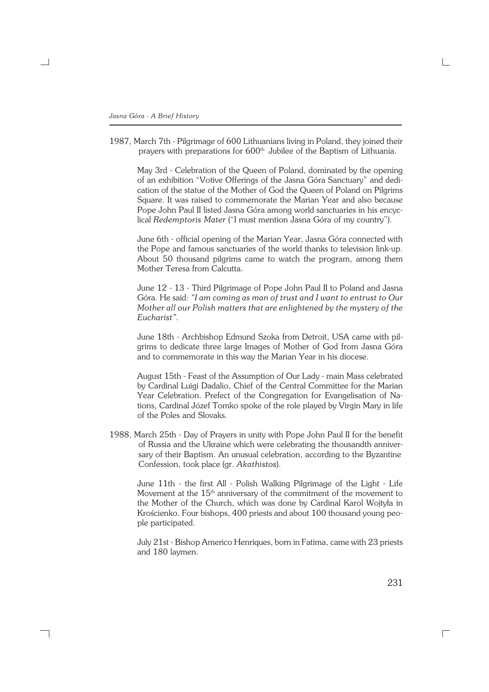1987, March 7th − Pilgrimage of 600 Lithuanians living in Poland, they joined their prayers with preparations for 600<sup>th</sup> Jubilee of the Baptism of Lithuania.

May 3rd − Celebration of the Queen of Poland, dominated by the opening of an exhibition "Votive Offerings of the Jasna Góra Sanctuary" and dedi− cation of the statue of the Mother of God the Queen of Poland on Pilgrims Square. It was raised to commemorate the Marian Year and also because Pope John Paul II listed Jasna Góra among world sanctuaries in his encyc− lical *Redemptoris Mater* ("I must mention Jasna Góra of my country").

June 6th − official opening of the Marian Year, Jasna Góra connected with the Pope and famous sanctuaries of the world thanks to television link−up. About 50 thousand pilgrims came to watch the program, among them Mother Teresa from Calcutta.

June 12 − 13 − Third Pilgrimage of Pope John Paul II to Poland and Jasna Góra. He said: *"I am coming as man of trust and I want to entrust to Our Mother all our Polish matters that are enlightened by the mystery of the Eucharist".*

June 18th − Archbishop Edmund Szoka from Detroit, USA came with pil− grims to dedicate three large Images of Mother of God from Jasna Góra and to commemorate in this way the Marian Year in his diocese.

August 15th − Feast of the Assumption of Our Lady − main Mass celebrated by Cardinal Luigi Dadalio, Chief of the Central Committee for the Marian Year Celebration. Prefect of the Congregation for Evangelisation of Na− tions, Cardinal Józef Tomko spoke of the role played by Virgin Mary in life of the Poles and Slovaks.

1988, March 25th - Day of Prayers in unity with Pope John Paul II for the benefit of Russia and the Ukraine which were celebrating the thousandth anniver− sary of their Baptism. An unusual celebration, according to the Byzantine Confession, took place (gr. *Akathistos*).

June 11th − the first All − Polish Walking Pilgrimage of the Light − Life Movement at the  $15<sup>th</sup>$  anniversary of the commitment of the movement to the Mother of the Church, which was done by Cardinal Karol Wojtyła in Krościenko. Four bishops, 400 priests and about 100 thousand young peo− ple participated.

July 21st − Bishop Americo Henriques, born in Fatima, came with 23 priests and 180 laymen.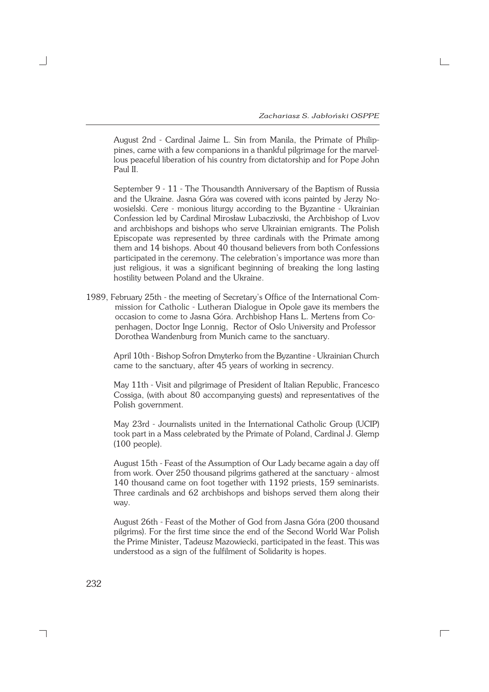August 2nd − Cardinal Jaime L. Sin from Manila, the Primate of Philip− pines, came with a few companions in a thankful pilgrimage for the marvel− lous peaceful liberation of his country from dictatorship and for Pope John Paul II.

September 9 − 11 − The Thousandth Anniversary of the Baptism of Russia and the Ukraine. Jasna Góra was covered with icons painted by Jerzy No− wosielski. Cere − monious liturgy according to the Byzantine − Ukrainian Confession led by Cardinal Mirosław Lubaczivski, the Archbishop of Lvov and archbishops and bishops who serve Ukrainian emigrants. The Polish Episcopate was represented by three cardinals with the Primate among them and 14 bishops. About 40 thousand believers from both Confessions participated in the ceremony. The celebration's importance was more than just religious, it was a significant beginning of breaking the long lasting hostility between Poland and the Ukraine.

1989, February 25th − the meeting of Secretary's Office of the International Com− mission for Catholic − Lutheran Dialogue in Opole gave its members the occasion to come to Jasna Góra. Archbishop Hans L. Mertens from Co− penhagen, Doctor Inge Lonnig, Rector of Oslo University and Professor Dorothea Wandenburg from Munich came to the sanctuary.

April 10th − Bishop Sofron Dmyterko from the Byzantine − Ukrainian Church came to the sanctuary, after 45 years of working in secrency.

May 11th − Visit and pilgrimage of President of Italian Republic, Francesco Cossiga, (with about 80 accompanying guests) and representatives of the Polish government.

May 23rd − Journalists united in the International Catholic Group (UCIP) took part in a Mass celebrated by the Primate of Poland, Cardinal J. Glemp (100 people).

August 15th − Feast of the Assumption of Our Lady became again a day off from work. Over 250 thousand pilgrims gathered at the sanctuary − almost 140 thousand came on foot together with 1192 priests, 159 seminarists. Three cardinals and 62 archbishops and bishops served them along their way.

August 26th − Feast of the Mother of God from Jasna Góra (200 thousand pilgrims). For the first time since the end of the Second World War Polish the Prime Minister, Tadeusz Mazowiecki, participated in the feast. This was understood as a sign of the fulfilment of Solidarity is hopes.

 $\Box$ 

232